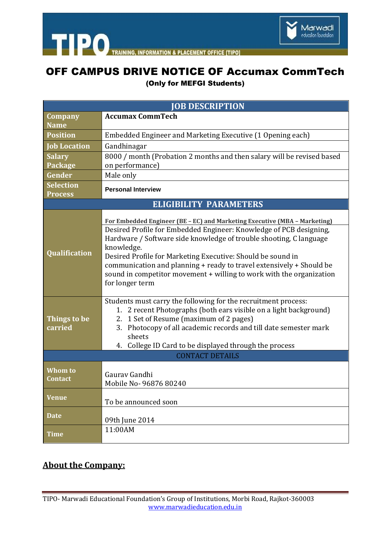

**TIPO** TRAINING **& PLACEMENT OFFICE ITIPO1 INFORMATION** 

## OFF CAMPUS DRIVE NOTICE OF Accumax CommTech

(Only for MEFGI Students)

| <b>JOB DESCRIPTION</b>             |                                                                                                                                                                                                                                                                                                                                                                                                                                                                       |
|------------------------------------|-----------------------------------------------------------------------------------------------------------------------------------------------------------------------------------------------------------------------------------------------------------------------------------------------------------------------------------------------------------------------------------------------------------------------------------------------------------------------|
| <b>Company</b>                     | <b>Accumax CommTech</b>                                                                                                                                                                                                                                                                                                                                                                                                                                               |
| <b>Name</b>                        |                                                                                                                                                                                                                                                                                                                                                                                                                                                                       |
| <b>Position</b>                    | Embedded Engineer and Marketing Executive (1 Opening each)                                                                                                                                                                                                                                                                                                                                                                                                            |
| <b>Job Location</b>                | Gandhinagar                                                                                                                                                                                                                                                                                                                                                                                                                                                           |
| <b>Salary</b><br><b>Package</b>    | 8000 / month (Probation 2 months and then salary will be revised based<br>on performance)                                                                                                                                                                                                                                                                                                                                                                             |
| Gender                             | Male only                                                                                                                                                                                                                                                                                                                                                                                                                                                             |
| <b>Selection</b><br><b>Process</b> | <b>Personal Interview</b>                                                                                                                                                                                                                                                                                                                                                                                                                                             |
| <b>ELIGIBILITY PARAMETERS</b>      |                                                                                                                                                                                                                                                                                                                                                                                                                                                                       |
| Qualification                      | For Embedded Engineer (BE - EC) and Marketing Executive (MBA - Marketing)<br>Desired Profile for Embedded Engineer: Knowledge of PCB designing,<br>Hardware / Software side knowledge of trouble shooting, C language<br>knowledge.<br>Desired Profile for Marketing Executive: Should be sound in<br>communication and planning + ready to travel extensively + Should be<br>sound in competitor movement + willing to work with the organization<br>for longer term |
| Things to be<br>carried            | Students must carry the following for the recruitment process:<br>1. 2 recent Photographs (both ears visible on a light background)<br>2. 1 Set of Resume (maximum of 2 pages)<br>3. Photocopy of all academic records and till date semester mark<br>sheets<br>4. College ID Card to be displayed through the process<br><b>CONTACT DETAILS</b>                                                                                                                      |
|                                    |                                                                                                                                                                                                                                                                                                                                                                                                                                                                       |
| Whom to<br><b>Contact</b>          | Gaurav Gandhi<br>Mobile No- 96876 80240                                                                                                                                                                                                                                                                                                                                                                                                                               |
| <b>Venue</b>                       | To be announced soon                                                                                                                                                                                                                                                                                                                                                                                                                                                  |
| <b>Date</b>                        | 09th June 2014                                                                                                                                                                                                                                                                                                                                                                                                                                                        |
| <b>Time</b>                        | 11:00AM                                                                                                                                                                                                                                                                                                                                                                                                                                                               |

## **About the Company:**